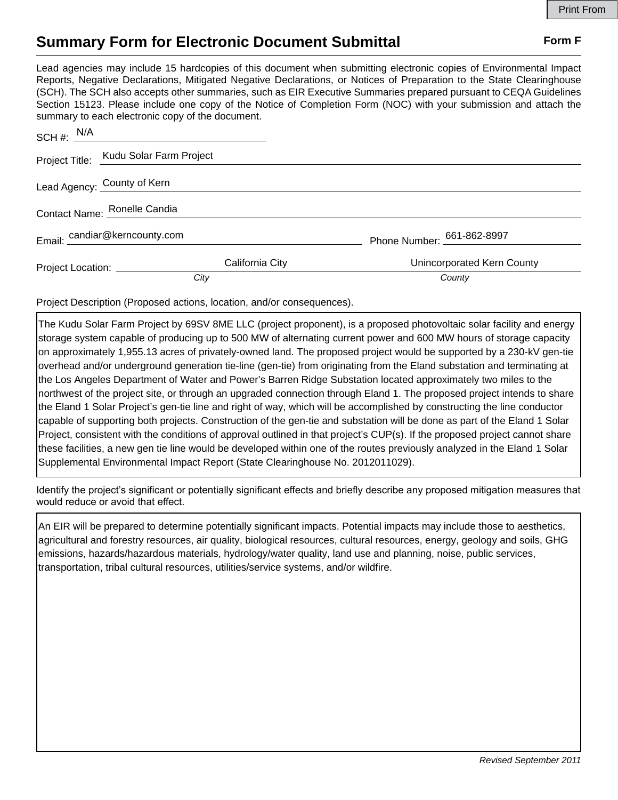## **Summary Form for Electronic Document Submittal Form F Form F**

Lead agencies may include 15 hardcopies of this document when submitting electronic copies of Environmental Impact Reports, Negative Declarations, Mitigated Negative Declarations, or Notices of Preparation to the State Clearinghouse (SCH). The SCH also accepts other summaries, such as EIR Executive Summaries prepared pursuant to CEQA Guidelines Section 15123. Please include one copy of the Notice of Completion Form (NOC) with your submission and attach the summary to each electronic copy of the document.

| SCH #: $N/A$                  |                                                      |  |                            |
|-------------------------------|------------------------------------------------------|--|----------------------------|
|                               | Project Title: Kudu Solar Farm Project               |  |                            |
|                               | Lead Agency: County of Kern                          |  |                            |
| Contact Name: Ronelle Candia  |                                                      |  |                            |
| Email: candiar@kerncounty.com |                                                      |  | Phone Number: 661-862-8997 |
|                               | California City<br>Project Location: _______________ |  | Unincorporated Kern County |
|                               | City                                                 |  | County                     |

Project Description (Proposed actions, location, and/or consequences).

The Kudu Solar Farm Project by 69SV 8ME LLC (project proponent), is a proposed photovoltaic solar facility and energy storage system capable of producing up to 500 MW of alternating current power and 600 MW hours of storage capacity on approximately 1,955.13 acres of privately-owned land. The proposed project would be supported by a 230-kV gen-tie overhead and/or underground generation tie-line (gen-tie) from originating from the Eland substation and terminating at the Los Angeles Department of Water and Power's Barren Ridge Substation located approximately two miles to the northwest of the project site, or through an upgraded connection through Eland 1. The proposed project intends to share the Eland 1 Solar Project's gen‐tie line and right of way, which will be accomplished by constructing the line conductor capable of supporting both projects. Construction of the gen-tie and substation will be done as part of the Eland 1 Solar Project, consistent with the conditions of approval outlined in that project's CUP(s). If the proposed project cannot share these facilities, a new gen tie line would be developed within one of the routes previously analyzed in the Eland 1 Solar Supplemental Environmental Impact Report (State Clearinghouse No. 2012011029).

Identify the project's significant or potentially significant effects and briefly describe any proposed mitigation measures that would reduce or avoid that effect.

An EIR will be prepared to determine potentially significant impacts. Potential impacts may include those to aesthetics, agricultural and forestry resources, air quality, biological resources, cultural resources, energy, geology and soils, GHG emissions, hazards/hazardous materials, hydrology/water quality, land use and planning, noise, public services, transportation, tribal cultural resources, utilities/service systems, and/or wildfire.